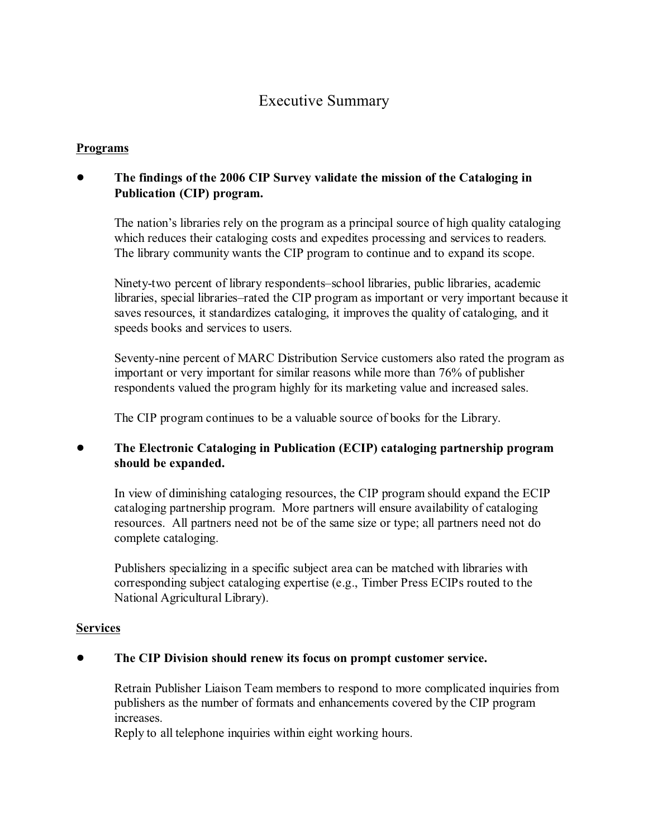# Executive Summary

#### **Programs**

# ! **The findings of the 2006 CIP Survey validate the mission of the Cataloging in Publication (CIP) program.**

The nation's libraries rely on the program as a principal source of high quality cataloging which reduces their cataloging costs and expedites processing and services to readers. The library community wants the CIP program to continue and to expand its scope.

Ninety-two percent of library respondents–school libraries, public libraries, academic libraries, special libraries–rated the CIP program as important or very important because it saves resources, it standardizes cataloging, it improves the quality of cataloging, and it speeds books and services to users.

Seventy-nine percent of MARC Distribution Service customers also rated the program as important or very important for similar reasons while more than 76% of publisher respondents valued the program highly for its marketing value and increased sales.

The CIP program continues to be a valuable source of books for the Library.

## ! **The Electronic Cataloging in Publication (ECIP) cataloging partnership program should be expanded.**

In view of diminishing cataloging resources, the CIP program should expand the ECIP cataloging partnership program. More partners will ensure availability of cataloging resources. All partners need not be of the same size or type; all partners need not do complete cataloging.

Publishers specializing in a specific subject area can be matched with libraries with corresponding subject cataloging expertise (e.g., Timber Press ECIPs routed to the National Agricultural Library).

#### **Services**

#### ! **The CIP Division should renew its focus on prompt customer service.**

Retrain Publisher Liaison Team members to respond to more complicated inquiries from publishers as the number of formats and enhancements covered by the CIP program increases.

Reply to all telephone inquiries within eight working hours.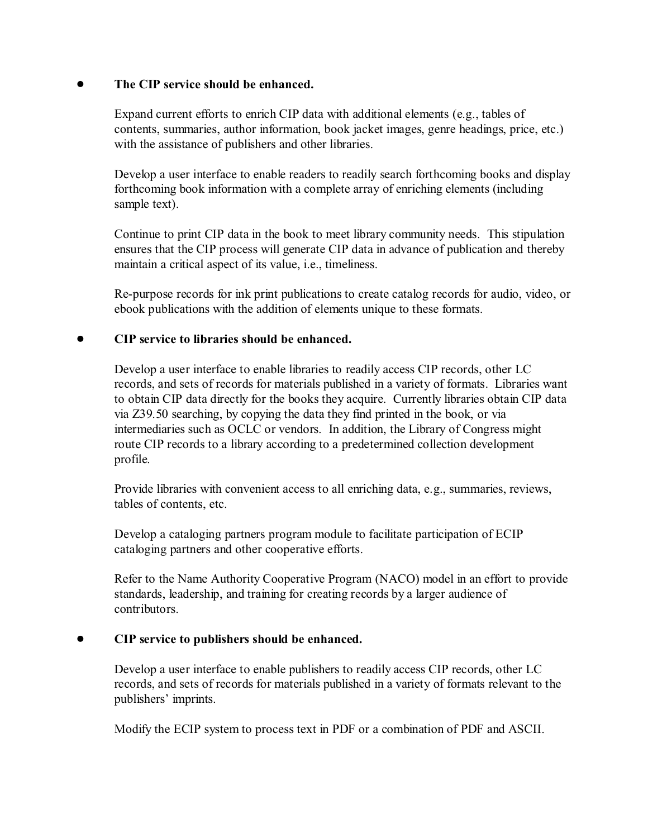## ! **The CIP service should be enhanced.**

Expand current efforts to enrich CIP data with additional elements (e.g., tables of contents, summaries, author information, book jacket images, genre headings, price, etc.) with the assistance of publishers and other libraries.

Develop a user interface to enable readers to readily search forthcoming books and display forthcoming book information with a complete array of enriching elements (including sample text).

Continue to print CIP data in the book to meet library community needs. This stipulation ensures that the CIP process will generate CIP data in advance of publication and thereby maintain a critical aspect of its value, i.e., timeliness.

Re-purpose records for ink print publications to create catalog records for audio, video, or ebook publications with the addition of elements unique to these formats.

## ! **CIP service to libraries should be enhanced.**

Develop a user interface to enable libraries to readily access CIP records, other LC records, and sets of records for materials published in a variety of formats. Libraries want to obtain CIP data directly for the books they acquire. Currently libraries obtain CIP data via Z39.50 searching, by copying the data they find printed in the book, or via intermediaries such as OCLC or vendors. In addition, the Library of Congress might route CIP records to a library according to a predetermined collection development profile.

Provide libraries with convenient access to all enriching data, e.g., summaries, reviews, tables of contents, etc.

Develop a cataloging partners program module to facilitate participation of ECIP cataloging partners and other cooperative efforts.

Refer to the Name Authority Cooperative Program (NACO) model in an effort to provide standards, leadership, and training for creating records by a larger audience of contributors.

## ! **CIP service to publishers should be enhanced.**

Develop a user interface to enable publishers to readily access CIP records, other LC records, and sets of records for materials published in a variety of formats relevant to the publishers' imprints.

Modify the ECIP system to process text in PDF or a combination of PDF and ASCII.